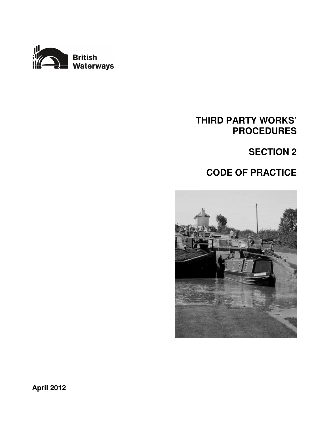

# **THIRD PARTY WORKS' PROCEDURES**

# **SECTION 2**

# **CODE OF PRACTICE**

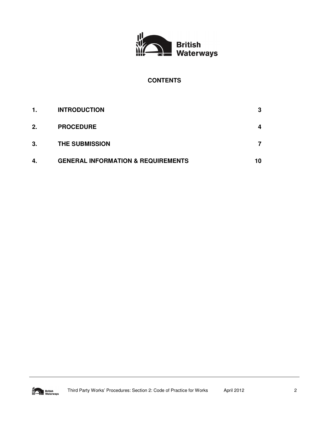

# **CONTENTS**

| 1. | <b>INTRODUCTION</b>                           | 3  |
|----|-----------------------------------------------|----|
| 2. | <b>PROCEDURE</b>                              | 4  |
| 3. | <b>THE SUBMISSION</b>                         |    |
| 4. | <b>GENERAL INFORMATION &amp; REQUIREMENTS</b> | 10 |

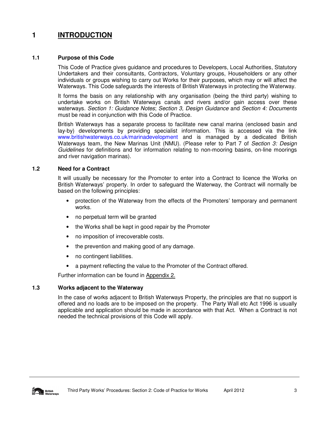# **1 INTRODUCTION**

# **1.1 Purpose of this Code**

This Code of Practice gives guidance and procedures to Developers, Local Authorities, Statutory Undertakers and their consultants, Contractors, Voluntary groups, Householders or any other individuals or groups wishing to carry out Works for their purposes, which may or will affect the Waterways. This Code safeguards the interests of British Waterways in protecting the Waterway.

It forms the basis on any relationship with any organisation (being the third party) wishing to undertake works on British Waterways canals and rivers and/or gain access over these waterways. Section 1: Guidance Notes; Section 3, Design Guidance and Section 4: Documents must be read in conjunction with this Code of Practice.

British Waterways has a separate process to facilitate new canal marina (enclosed basin and lay-by) developments by providing specialist information. This is accessed via the link www.britishwaterways.co.uk/marinadevelopment and is managed by a dedicated British Waterways team, the New Marinas Unit (NMU). (Please refer to Part 7 of Section 3: Design Guidelines for definitions and for information relating to non-mooring basins, on-line moorings and river navigation marinas).

# **1.2 Need for a Contract**

It will usually be necessary for the Promoter to enter into a Contract to licence the Works on British Waterways' property. In order to safeguard the Waterway, the Contract will normally be based on the following principles:

- protection of the Waterway from the effects of the Promoters' temporary and permanent works.
- no perpetual term will be granted
- the Works shall be kept in good repair by the Promoter
- no imposition of irrecoverable costs.
- the prevention and making good of any damage.
- no contingent liabilities.
- a payment reflecting the value to the Promoter of the Contract offered.

Further information can be found in Appendix 2.

# **1.3 Works adjacent to the Waterway**

In the case of works adjacent to British Waterways Property, the principles are that no support is offered and no loads are to be imposed on the property. The Party Wall etc Act 1996 is usually applicable and application should be made in accordance with that Act. When a Contract is not needed the technical provisions of this Code will apply.

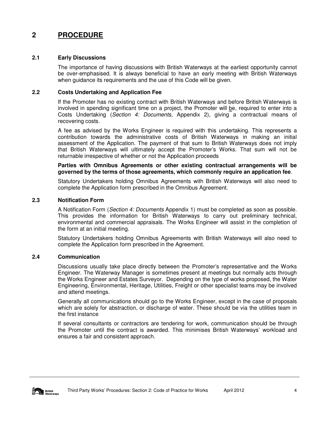# **2 PROCEDURE**

# **2.1 Early Discussions**

The importance of having discussions with British Waterways at the earliest opportunity cannot be over-emphasised. It is always beneficial to have an early meeting with British Waterways when guidance its requirements and the use of this Code will be given.

# **2.2 Costs Undertaking and Application Fee**

If the Promoter has no existing contract with British Waterways and before British Waterways is involved in spending significant time on a project, the Promoter will be, required to enter into a Costs Undertaking (Section 4: Documents, Appendix 2), giving a contractual means of recovering costs.

A fee as advised by the Works Engineer is required with this undertaking. This represents a contribution towards the administrative costs of British Waterways in making an initial assessment of the Application. The payment of that sum to British Waterways does not imply that British Waterways will ultimately accept the Promoter's Works. That sum will not be returnable irrespective of whether or not the Application proceeds

#### **Parties with Omnibus Agreements or other existing contractual arrangements will be governed by the terms of those agreements, which commonly require an application fee**.

Statutory Undertakers holding Omnibus Agreements with British Waterways will also need to complete the Application form prescribed in the Omnibus Agreement.

# **2.3 Notification Form**

A Notification Form (Section 4: Documents Appendix 1) must be completed as soon as possible. This provides the information for British Waterways to carry out preliminary technical, environmental and commercial appraisals. The Works Engineer will assist in the completion of the form at an initial meeting.

Statutory Undertakers holding Omnibus Agreements with British Waterways will also need to complete the Application form prescribed in the Agreement.

# **2.4 Communication**

Discussions usually take place directly between the Promoter's representative and the Works Engineer. The Waterway Manager is sometimes present at meetings but normally acts through the Works Engineer and Estates Surveyor. Depending on the type of works proposed, the Water Engineering, Environmental, Heritage, Utilities, Freight or other specialist teams may be involved and attend meetings.

Generally all communications should go to the Works Engineer, except in the case of proposals which are solely for abstraction, or discharge of water. These should be via the utilities team in the first instance

If several consultants or contractors are tendering for work, communication should be through the Promoter until the contract is awarded. This minimises British Waterways' workload and ensures a fair and consistent approach.

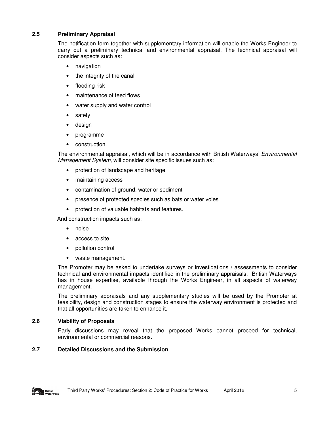# **2.5 Preliminary Appraisal**

The notification form together with supplementary information will enable the Works Engineer to carry out a preliminary technical and environmental appraisal. The technical appraisal will consider aspects such as:

- navigation
- the integrity of the canal
- flooding risk
- maintenance of feed flows
- water supply and water control
- safety
- design
- programme
- construction.

The environmental appraisal, which will be in accordance with British Waterways' Environmental Management System, will consider site specific issues such as:

- protection of landscape and heritage
- maintaining access
- contamination of ground, water or sediment
- presence of protected species such as bats or water voles
- protection of valuable habitats and features.

And construction impacts such as:

- noise
- access to site
- pollution control
- waste management.

The Promoter may be asked to undertake surveys or investigations / assessments to consider technical and environmental impacts identified in the preliminary appraisals. British Waterways has in house expertise, available through the Works Engineer, in all aspects of waterway management.

The preliminary appraisals and any supplementary studies will be used by the Promoter at feasibility, design and construction stages to ensure the waterway environment is protected and that all opportunities are taken to enhance it.

# **2.6 Viability of Proposals**

Early discussions may reveal that the proposed Works cannot proceed for technical, environmental or commercial reasons.

# **2.7 Detailed Discussions and the Submission**

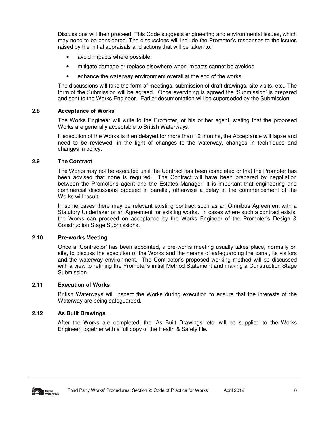Discussions will then proceed. This Code suggests engineering and environmental issues, which may need to be considered. The discussions will include the Promoter's responses to the issues raised by the initial appraisals and actions that will be taken to:

- avoid impacts where possible
- mitigate damage or replace elsewhere when impacts cannot be avoided
- enhance the waterway environment overall at the end of the works.

The discussions will take the form of meetings, submission of draft drawings, site visits, etc., The form of the Submission will be agreed. Once everything is agreed the 'Submission' is prepared and sent to the Works Engineer. Earlier documentation will be superseded by the Submission.

#### **2.8 Acceptance of Works**

The Works Engineer will write to the Promoter, or his or her agent, stating that the proposed Works are generally acceptable to British Waterways.

If execution of the Works is then delayed for more than 12 months, the Acceptance will lapse and need to be reviewed, in the light of changes to the waterway, changes in techniques and changes in policy.

#### **2.9 The Contract**

The Works may not be executed until the Contract has been completed or that the Promoter has been advised that none is required. The Contract will have been prepared by negotiation between the Promoter's agent and the Estates Manager. It is important that engineering and commercial discussions proceed in parallel, otherwise a delay in the commencement of the Works will result.

In some cases there may be relevant existing contract such as an Omnibus Agreement with a Statutory Undertaker or an Agreement for existing works. In cases where such a contract exists, the Works can proceed on acceptance by the Works Engineer of the Promoter's Design & Construction Stage Submissions.

#### **2.10 Pre-works Meeting**

Once a 'Contractor' has been appointed, a pre-works meeting usually takes place, normally on site, to discuss the execution of the Works and the means of safeguarding the canal, its visitors and the waterway environment. The Contractor's proposed working method will be discussed with a view to refining the Promoter's initial Method Statement and making a Construction Stage Submission.

#### **2.11 Execution of Works**

British Waterways will inspect the Works during execution to ensure that the interests of the Waterway are being safeguarded.

# **2.12 As Built Drawings**

After the Works are completed, the 'As Built Drawings' etc. will be supplied to the Works Engineer, together with a full copy of the Health & Safety file.

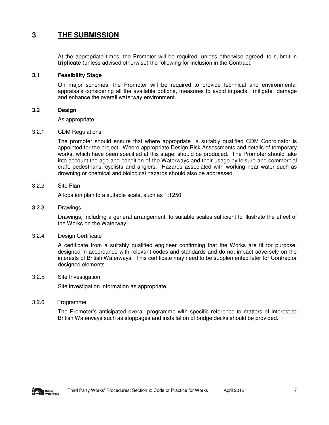# **3 THE SUBMISSION**

At the appropriate times, the Promoter will be required, unless otherwise agreed, to submit in **triplicate** (unless advised otherwise) the following for inclusion in the Contract:

#### **3.1 Feasibility Stage**

On major schemes, the Promoter will be required to provide technical and environmental appraisals considering all the available options, measures to avoid impacts, mitigate damage and enhance the overall waterway environment.

#### **3.2 Design**

As appropriate:

#### 3.2.1 CDM Regulations

The promoter should ensure that where appropriate a suitably qualified CDM Coordinator is appointed for the project. Where appropriate Design Risk Assessments and details of temporary works, which have been specified at this stage, should be produced. The Promoter should take into account the age and condition of the Waterways and their usage by leisure and commercial craft, pedestrians, cyclists and anglers. Hazards associated with working near water such as drowning or chemical and biological hazards should also be addressed.

#### 3.2.2 Site Plan

A location plan to a suitable scale, such as 1:1250.

#### 3.2.3 Drawings

Drawings, including a general arrangement, to suitable scales sufficient to illustrate the effect of the Works on the Waterway.

#### 3.2.4 Design Certificate

A certificate from a suitably qualified engineer confirming that the Works are fit for purpose, designed in accordance with relevant codes and standards and do not impact adversely on the interests of British Waterways. This certificate may need to be supplemented later for Contractor designed elements.

#### 3.2.5 Site Investigation

Site investigation information as appropriate.

#### 3.2.6 Programme

The Promoter's anticipated overall programme with specific reference to matters of interest to British Waterways such as stoppages and installation of bridge decks should be provided.

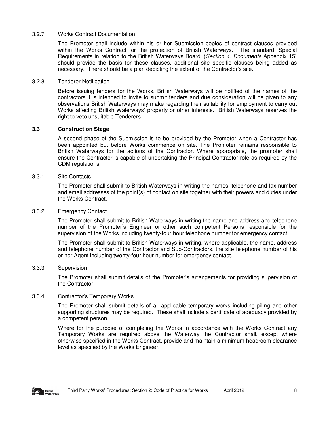#### 3.2.7 Works Contract Documentation

The Promoter shall include within his or her Submission copies of contract clauses provided within the Works Contract for the protection of British Waterways. The standard 'Special Requirements in relation to the British Waterways Board' (Section 4: Documents Appendix 15) should provide the basis for these clauses, additional site specific clauses being added as necessary. There should be a plan depicting the extent of the Contractor's site.

#### 3.2.8 Tenderer Notification

Before issuing tenders for the Works, British Waterways will be notified of the names of the contractors it is intended to invite to submit tenders and due consideration will be given to any observations British Waterways may make regarding their suitability for employment to carry out Works affecting British Waterways' property or other interests. British Waterways reserves the right to veto unsuitable Tenderers.

# **3.3 Construction Stage**

A second phase of the Submission is to be provided by the Promoter when a Contractor has been appointed but before Works commence on site. The Promoter remains responsible to British Waterways for the actions of the Contractor. Where appropriate, the promoter shall ensure the Contractor is capable of undertaking the Principal Contractor role as required by the CDM regulations.

#### 3.3.1 Site Contacts

The Promoter shall submit to British Waterways in writing the names, telephone and fax number and email addresses of the point(s) of contact on site together with their powers and duties under the Works Contract.

#### 3.3.2 Emergency Contact

The Promoter shall submit to British Waterways in writing the name and address and telephone number of the Promoter's Engineer or other such competent Persons responsible for the supervision of the Works including twenty-four hour telephone number for emergency contact.

The Promoter shall submit to British Waterways in writing, where applicable, the name, address and telephone number of the Contractor and Sub-Contractors, the site telephone number of his or her Agent including twenty-four hour number for emergency contact.

#### 3.3.3 Supervision

The Promoter shall submit details of the Promoter's arrangements for providing supervision of the Contractor

#### 3.3.4 Contractor's Temporary Works

The Promoter shall submit details of all applicable temporary works including piling and other supporting structures may be required. These shall include a certificate of adequacy provided by a competent person.

Where for the purpose of completing the Works in accordance with the Works Contract any Temporary Works are required above the Waterway the Contractor shall, except where otherwise specified in the Works Contract, provide and maintain a minimum headroom clearance level as specified by the Works Engineer.

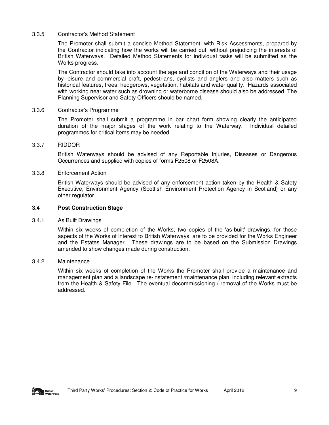#### 3.3.5 Contractor's Method Statement

The Promoter shall submit a concise Method Statement, with Risk Assessments, prepared by the Contractor indicating how the works will be carried out, without prejudicing the interests of British Waterways. Detailed Method Statements for individual tasks will be submitted as the Works progress.

The Contractor should take into account the age and condition of the Waterways and their usage by leisure and commercial craft, pedestrians, cyclists and anglers and also matters such as historical features, trees, hedgerows, vegetation, habitats and water quality. Hazards associated with working near water such as drowning or waterborne disease should also be addressed. The Planning Supervisor and Safety Officers should be named.

#### 3.3.6 Contractor's Programme

The Promoter shall submit a programme in bar chart form showing clearly the anticipated duration of the major stages of the work relating to the Waterway. Individual detailed programmes for critical items may be needed.

#### 3.3.7 RIDDOR

British Waterways should be advised of any Reportable Injuries, Diseases or Dangerous Occurrences and supplied with copies of forms F2508 or F2508A.

#### 3.3.8 Enforcement Action

British Waterways should be advised of any enforcement action taken by the Health & Safety Executive, Environment Agency (Scottish Environment Protection Agency in Scotland) or any other regulator.

# **3.4 Post Construction Stage**

#### 3.4.1 As Built Drawings

Within six weeks of completion of the Works, two copies of the 'as-built' drawings, for those aspects of the Works of interest to British Waterways, are to be provided for the Works Engineer and the Estates Manager. These drawings are to be based on the Submission Drawings amended to show changes made during construction.

#### 3.4.2 Maintenance

Within six weeks of completion of the Works the Promoter shall provide a maintenance and management plan and a landscape re-instatement /maintenance plan, including relevant extracts from the Health & Safety File. The eventual decommissioning / removal of the Works must be addressed.

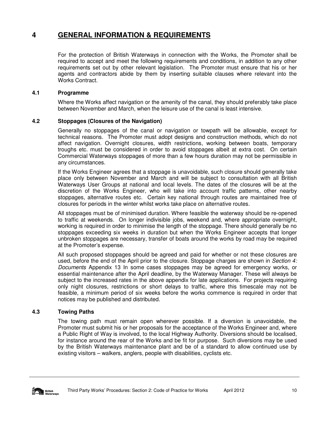# **4 GENERAL INFORMATION & REQUIREMENTS**

For the protection of British Waterways in connection with the Works, the Promoter shall be required to accept and meet the following requirements and conditions, in addition to any other requirements set out by other relevant legislation. The Promoter must ensure that his or her agents and contractors abide by them by inserting suitable clauses where relevant into the Works Contract.

# **4.1 Programme**

Where the Works affect navigation or the amenity of the canal, they should preferably take place between November and March, when the leisure use of the canal is least intensive.

# **4.2 Stoppages (Closures of the Navigation)**

Generally no stoppages of the canal or navigation or towpath will be allowable, except for technical reasons. The Promoter must adopt designs and construction methods, which do not affect navigation. Overnight closures, width restrictions, working between boats, temporary troughs etc. must be considered in order to avoid stoppages albeit at extra cost. On certain Commercial Waterways stoppages of more than a few hours duration may not be permissible in any circumstances.

If the Works Engineer agrees that a stoppage is unavoidable, such closure should generally take place only between November and March and will be subject to consultation with all British Waterways User Groups at national and local levels. The dates of the closures will be at the discretion of the Works Engineer, who will take into account traffic patterns, other nearby stoppages, alternative routes etc. Certain key national through routes are maintained free of closures for periods in the winter whilst works take place on alternative routes.

All stoppages must be of minimised duration. Where feasible the waterway should be re-opened to traffic at weekends. On longer indivisible jobs, weekend and, where appropriate overnight, working is required in order to minimise the length of the stoppage. There should generally be no stoppages exceeding six weeks in duration but when the Works Engineer accepts that longer unbroken stoppages are necessary, transfer of boats around the works by road may be required at the Promoter's expense.

All such proposed stoppages should be agreed and paid for whether or not these closures are used, before the end of the April prior to the closure. Stoppage charges are shown in Section 4: Documents Appendix 13 In some cases stoppages may be agreed for emergency works, or essential maintenance after the April deadline, by the Waterway Manager. These will always be subject to the increased rates in the above appendix for late applications. For projects requiring only night closures, restrictions or short delays to traffic, where this timescale may not be feasible, a minimum period of six weeks before the works commence is required in order that notices may be published and distributed.

# **4.3 Towing Paths**

The towing path must remain open wherever possible. If a diversion is unavoidable, the Promoter must submit his or her proposals for the acceptance of the Works Engineer and, where a Public Right of Way is involved, to the local Highway Authority. Diversions should be localised, for instance around the rear of the Works and be fit for purpose. Such diversions may be used by the British Waterways maintenance plant and be of a standard to allow continued use by existing visitors – walkers, anglers, people with disabilities, cyclists etc.

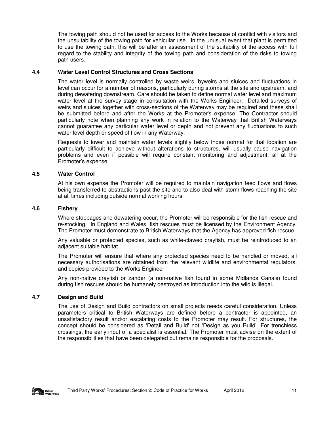The towing path should not be used for access to the Works because of conflict with visitors and the unsuitability of the towing path for vehicular use. In the unusual event that plant is permitted to use the towing path, this will be after an assessment of the suitability of the access with full regard to the stability and integrity of the towing path and consideration of the risks to towing path users.

# **4.4 Water Level Control Structures and Cross Sections**

The water level is normally controlled by waste weirs, byweirs and sluices and fluctuations in level can occur for a number of reasons, particularly during storms at the site and upstream, and during dewatering downstream. Care should be taken to define normal water level and maximum water level at the survey stage in consultation with the Works Engineer. Detailed surveys of weirs and sluices together with cross-sections of the Waterway may be required and these shall be submitted before and after the Works at the Promoter's expense. The Contractor should particularly note when planning any work in relation to the Waterway that British Waterways cannot guarantee any particular water level or depth and not prevent any fluctuations to such water level depth or speed of flow in any Waterway.

Requests to lower and maintain water levels slightly below those normal for that location are particularly difficult to achieve without alterations to structures, will usually cause navigation problems and even if possible will require constant monitoring and adjustment, all at the Promoter's expense.

# **4.5 Water Control**

At his own expense the Promoter will be required to maintain navigation feed flows and flows being transferred to abstractions past the site and to also deal with storm flows reaching the site at all times including outside normal working hours.

# **4.6 Fishery**

Where stoppages and dewatering occur, the Promoter will be responsible for the fish rescue and re-stocking. In England and Wales, fish rescues must be licensed by the Environment Agency. The Promoter must demonstrate to British Waterways that the Agency has approved fish rescue.

Any valuable or protected species, such as white-clawed crayfish, must be reintroduced to an adjacent suitable habitat.

The Promoter will ensure that where any protected species need to be handled or moved, all necessary authorisations are obtained from the relevant wildlife and environmental regulators, and copies provided to the Works Engineer.

Any non-native crayfish or zander (a non-native fish found in some Midlands Canals) found during fish rescues should be humanely destroyed as introduction into the wild is illegal.

# **4.7 Design and Build**

The use of Design and Build contractors on small projects needs careful consideration. Unless parameters critical to British Waterways are defined before a contractor is appointed, an unsatisfactory result and/or escalating costs to the Promoter may result. For structures, the concept should be considered as 'Detail and Build' not 'Design as you Build'. For trenchless crossings, the early input of a specialist is essential. The Promoter must advise on the extent of the responsibilities that have been delegated but remains responsible for the proposals.

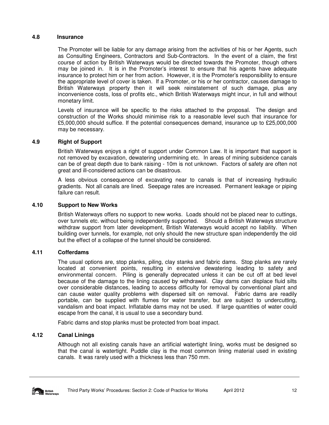# **4.8 Insurance**

The Promoter will be liable for any damage arising from the activities of his or her Agents, such as Consulting Engineers, Contractors and Sub-Contractors. In the event of a claim, the first course of action by British Waterways would be directed towards the Promoter, though others may be joined in. It is in the Promoter's interest to ensure that his agents have adequate insurance to protect him or her from action. However, it is the Promoter's responsibility to ensure the appropriate level of cover is taken. If a Promoter, or his or her contractor, causes damage to British Waterways property then it will seek reinstatement of such damage, plus any inconvenience costs, loss of profits etc., which British Waterways might incur, in full and without monetary limit.

Levels of insurance will be specific to the risks attached to the proposal. The design and construction of the Works should minimise risk to a reasonable level such that insurance for £5,000,000 should suffice. If the potential consequences demand, insurance up to £25,000,000 may be necessary.

# **4.9 Right of Support**

British Waterways enjoys a right of support under Common Law. It is important that support is not removed by excavation, dewatering undermining etc. In areas of mining subsidence canals can be of great depth due to bank raising - 10m is not unknown. Factors of safety are often not great and ill-considered actions can be disastrous.

A less obvious consequence of excavating near to canals is that of increasing hydraulic gradients. Not all canals are lined. Seepage rates are increased. Permanent leakage or piping failure can result.

# **4.10 Support to New Works**

British Waterways offers no support to new works. Loads should not be placed near to cuttings, over tunnels etc. without being independently supported. Should a British Waterways structure withdraw support from later development, British Waterways would accept no liability. When building over tunnels, for example, not only should the new structure span independently the old but the effect of a collapse of the tunnel should be considered.

# **4.11 Cofferdams**

The usual options are, stop planks, piling, clay stanks and fabric dams. Stop planks are rarely located at convenient points, resulting in extensive dewatering leading to safety and environmental concern. Piling is generally deprecated unless it can be cut off at bed level because of the damage to the lining caused by withdrawal. Clay dams can displace fluid silts over considerable distances, leading to access difficulty for removal by conventional plant and can cause water quality problems with dispersed silt on removal. Fabric dams are readily portable, can be supplied with flumes for water transfer, but are subject to undercutting, vandalism and boat impact. Inflatable dams may not be used. If large quantities of water could escape from the canal, it is usual to use a secondary bund.

Fabric dams and stop planks must be protected from boat impact.

# **4.12 Canal Linings**

Although not all existing canals have an artificial watertight lining, works must be designed so that the canal is watertight. Puddle clay is the most common lining material used in existing canals. It was rarely used with a thickness less than 750 mm.

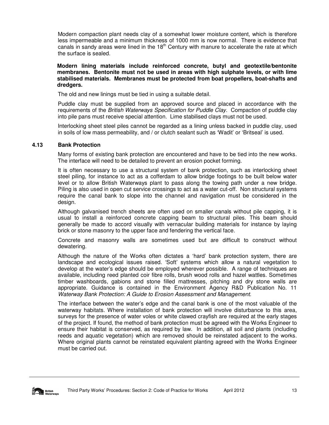Modern compaction plant needs clay of a somewhat lower moisture content, which is therefore less impermeable and a minimum thickness of 1000 mm is now normal. There is evidence that canals in sandy areas were lined in the  $18<sup>th</sup>$  Century with manure to accelerate the rate at which the surface is sealed.

**Modern lining materials include reinforced concrete, butyl and geotextile/bentonite membranes. Bentonite must not be used in areas with high sulphate levels, or with lime stabilised materials. Membranes must be protected from boat propellers, boat-shafts and dredgers.** 

The old and new linings must be tied in using a suitable detail.

Puddle clay must be supplied from an approved source and placed in accordance with the requirements of the British Waterways Specification for Puddle Clay. Compaction of puddle clay into pile pans must receive special attention. Lime stabilised clays must not be used.

Interlocking sheet steel piles cannot be regarded as a lining unless backed in puddle clay, used in soils of low mass permeability, and / or clutch sealant such as 'Wadit' or 'Britseal' is used.

# **4.13 Bank Protection**

Many forms of existing bank protection are encountered and have to be tied into the new works. The interface will need to be detailed to prevent an erosion pocket forming.

It is often necessary to use a structural system of bank protection, such as interlocking sheet steel piling, for instance to act as a cofferdam to allow bridge footings to be built below water level or to allow British Waterways plant to pass along the towing path under a new bridge. Piling is also used in open cut service crossings to act as a water cut-off. Non structural systems require the canal bank to slope into the channel and navigation must be considered in the design.

Although galvanised trench sheets are often used on smaller canals without pile capping, it is usual to install a reinforced concrete capping beam to structural piles. This beam should generally be made to accord visually with vernacular building materials for instance by laying brick or stone masonry to the upper face and fendering the vertical face.

Concrete and masonry walls are sometimes used but are difficult to construct without dewatering.

Although the nature of the Works often dictates a 'hard' bank protection system, there are landscape and ecological issues raised. 'Soft' systems which allow a natural vegetation to develop at the water's edge should be employed wherever possible. A range of techniques are available, including reed planted coir fibre rolls, brush wood rolls and hazel wattles. Sometimes timber washboards, gabions and stone filled mattresses, pitching and dry stone walls are appropriate. Guidance is contained in the Environment Agency R&D Publication No. 11 Waterway Bank Protection: A Guide to Erosion Assessment and Management.

The interface between the water's edge and the canal bank is one of the most valuable of the waterway habitats. Where installation of bank protection will involve disturbance to this area, surveys for the presence of water voles or white clawed crayfish are required at the early stages of the project. If found, the method of bank protection must be agreed with the Works Engineer to ensure their habitat is conserved, as required by law. In addition, all soil and plants (including reeds and aquatic vegetation) which are removed should be reinstated adjacent to the works. Where original plants cannot be reinstated equivalent planting agreed with the Works Engineer must be carried out.

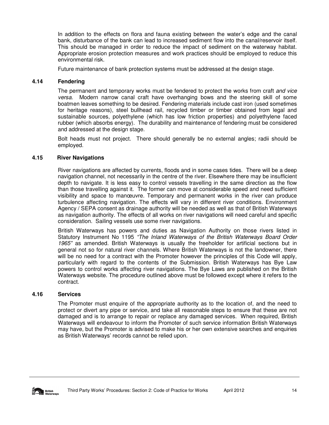In addition to the effects on flora and fauna existing between the water's edge and the canal bank, disturbance of the bank can lead to increased sediment flow into the canal/reservoir itself. This should be managed in order to reduce the impact of sediment on the waterway habitat. Appropriate erosion protection measures and work practices should be employed to reduce this environmental risk.

Future maintenance of bank protection systems must be addressed at the design stage.

# **4.14 Fendering**

The permanent and temporary works must be fendered to protect the works from craft and vice versa. Modern narrow canal craft have overhanging bows and the steering skill of some boatmen leaves something to be desired. Fendering materials include cast iron (used sometimes for heritage reasons), steel bullhead rail, recycled timber or timber obtained from legal and sustainable sources, polyethylene (which has low friction properties) and polyethylene faced rubber (which absorbs energy). The durability and maintenance of fendering must be considered and addressed at the design stage.

Bolt heads must not project. There should generally be no external angles; radii should be employed.

# **4.15 River Navigations**

River navigations are affected by currents, floods and in some cases tides. There will be a deep navigation channel, not necessarily in the centre of the river. Elsewhere there may be insufficient depth to navigate. It is less easy to control vessels travelling in the same direction as the flow than those travelling against it. The former can move at considerable speed and need sufficient visibility and space to manœuvre. Temporary and permanent works in the river can produce turbulence affecting navigation. The effects will vary in different river conditions. Environment Agency / SEPA consent as drainage authority will be needed as well as that of British Waterways as navigation authority. The effects of all works on river navigations will need careful and specific consideration. Sailing vessels use some river navigations.

British Waterways has powers and duties as Navigation Authority on those rivers listed in Statutory Instrument No 1195 "The Inland Waterways of the British Waterways Board Order 1965" as amended. British Waterways is usually the freeholder for artificial sections but in general not so for natural river channels. Where British Waterways is not the landowner, there will be no need for a contract with the Promoter however the principles of this Code will apply, particularly with regard to the contents of the Submission. British Waterways has Bye Law powers to control works affecting river navigations. The Bye Laws are published on the British Waterways website. The procedure outlined above must be followed except where it refers to the contract.

# **4.16 Services**

The Promoter must enquire of the appropriate authority as to the location of, and the need to protect or divert any pipe or service, and take all reasonable steps to ensure that these are not damaged and is to arrange to repair or replace any damaged services. When required, British Waterways will endeavour to inform the Promoter of such service information British Waterways may have, but the Promoter is advised to make his or her own extensive searches and enquiries as British Waterways' records cannot be relied upon.

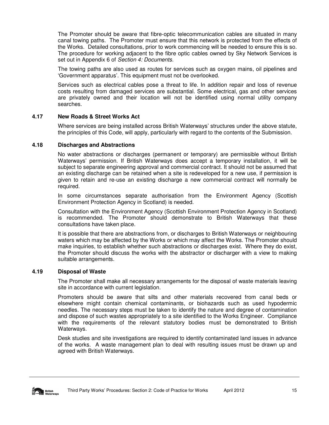The Promoter should be aware that fibre-optic telecommunication cables are situated in many canal towing paths. The Promoter must ensure that this network is protected from the effects of the Works. Detailed consultations, prior to work commencing will be needed to ensure this is so. The procedure for working adjacent to the fibre optic cables owned by Sky Network Services is set out in Appendix 6 of Section 4: Documents.

The towing paths are also used as routes for services such as oxygen mains, oil pipelines and 'Government apparatus'. This equipment must not be overlooked.

Services such as electrical cables pose a threat to life. In addition repair and loss of revenue costs resulting from damaged services are substantial. Some electrical, gas and other services are privately owned and their location will not be identified using normal utility company searches.

# **4.17 New Roads & Street Works Act**

Where services are being installed across British Waterways' structures under the above statute, the principles of this Code, will apply, particularly with regard to the contents of the Submission.

#### **4.18 Discharges and Abstractions**

No water abstractions or discharges (permanent or temporary) are permissible without British Waterways' permission. If British Waterways does accept a temporary installation, it will be subject to separate engineering approval and commercial contract. It should not be assumed that an existing discharge can be retained when a site is redeveloped for a new use, if permission is given to retain and re-use an existing discharge a new commercial contract will normally be required.

In some circumstances separate authorisation from the Environment Agency (Scottish Environment Protection Agency in Scotland) is needed.

Consultation with the Environment Agency (Scottish Environment Protection Agency in Scotland) is recommended. The Promoter should demonstrate to British Waterways that these consultations have taken place.

It is possible that there are abstractions from, or discharges to British Waterways or neighbouring waters which may be affected by the Works or which may affect the Works. The Promoter should make inquiries, to establish whether such abstractions or discharges exist. Where they do exist, the Promoter should discuss the works with the abstractor or discharger with a view to making suitable arrangements.

# **4.19 Disposal of Waste**

The Promoter shall make all necessary arrangements for the disposal of waste materials leaving site in accordance with current legislation.

Promoters should be aware that silts and other materials recovered from canal beds or elsewhere might contain chemical contaminants, or biohazards such as used hypodermic needles. The necessary steps must be taken to identify the nature and degree of contamination and dispose of such wastes appropriately to a site identified to the Works Engineer. Compliance with the requirements of the relevant statutory bodies must be demonstrated to British Waterways.

Desk studies and site investigations are required to identify contaminated land issues in advance of the works. A waste management plan to deal with resulting issues must be drawn up and agreed with British Waterways.

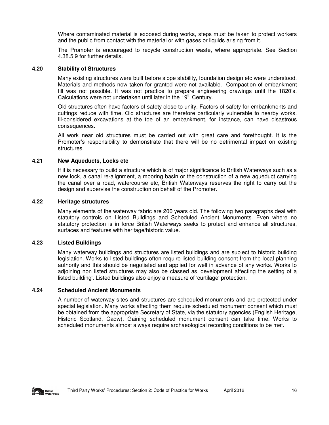Where contaminated material is exposed during works, steps must be taken to protect workers and the public from contact with the material or with gases or liquids arising from it.

The Promoter is encouraged to recycle construction waste, where appropriate. See Section 4.38.5.9 for further details.

#### **4.20 Stability of Structures**

Many existing structures were built before slope stability, foundation design etc were understood. Materials and methods now taken for granted were not available. Compaction of embankment fill was not possible. It was not practice to prepare engineering drawings until the 1820's. Calculations were not undertaken until later in the 19<sup>th</sup> Century.

Old structures often have factors of safety close to unity. Factors of safety for embankments and cuttings reduce with time. Old structures are therefore particularly vulnerable to nearby works. Ill-considered excavations at the toe of an embankment, for instance, can have disastrous consequences.

All work near old structures must be carried out with great care and forethought. It is the Promoter's responsibility to demonstrate that there will be no detrimental impact on existing structures.

# **4.21 New Aqueducts, Locks etc**

If it is necessary to build a structure which is of major significance to British Waterways such as a new lock, a canal re-alignment, a mooring basin or the construction of a new aqueduct carrying the canal over a road, watercourse etc, British Waterways reserves the right to carry out the design and supervise the construction on behalf of the Promoter.

#### **4.22 Heritage structures**

Many elements of the waterway fabric are 200 years old. The following two paragraphs deal with statutory controls on Listed Buildings and Scheduled Ancient Monuments. Even where no statutory protection is in force British Waterways seeks to protect and enhance all structures, surfaces and features with heritage/historic value.

# **4.23 Listed Buildings**

Many waterway buildings and structures are listed buildings and are subject to historic building legislation. Works to listed buildings often require listed building consent from the local planning authority and this should be negotiated and applied for well in advance of any works. Works to adjoining non listed structures may also be classed as 'development affecting the setting of a listed building'. Listed buildings also enjoy a measure of 'curtilage' protection.

#### **4.24 Scheduled Ancient Monuments**

A number of waterway sites and structures are scheduled monuments and are protected under special legislation. Many works affecting them require scheduled monument consent which must be obtained from the appropriate Secretary of State, via the statutory agencies (English Heritage, Historic Scotland, Cadw). Gaining scheduled monument consent can take time. Works to scheduled monuments almost always require archaeological recording conditions to be met.

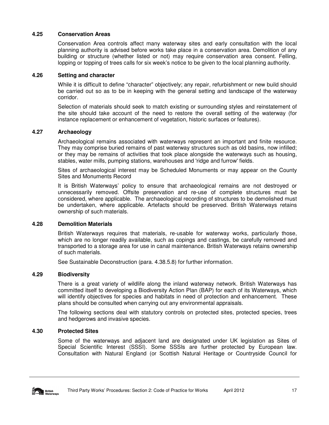# **4.25 Conservation Areas**

Conservation Area controls affect many waterway sites and early consultation with the local planning authority is advised before works take place in a conservation area. Demolition of any building or structure (whether listed or not) may require conservation area consent. Felling, lopping or topping of trees calls for six week's notice to be given to the local planning authority.

#### **4.26 Setting and character**

While it is difficult to define "character" objectively; any repair, refurbishment or new build should be carried out so as to be in keeping with the general setting and landscape of the waterway corridor.

Selection of materials should seek to match existing or surrounding styles and reinstatement of the site should take account of the need to restore the overall setting of the waterway (for instance replacement or enhancement of vegetation, historic surfaces or features).

# **4.27 Archaeology**

Archaeological remains associated with waterways represent an important and finite resource. They may comprise buried remains of past waterway structures such as old basins, now infilled; or they may be remains of activities that took place alongside the waterways such as housing, stables, water mills, pumping stations, warehouses and 'ridge and furrow' fields.

Sites of archaeological interest may be Scheduled Monuments or may appear on the County Sites and Monuments Record

It is British Waterways' policy to ensure that archaeological remains are not destroyed or unnecessarily removed. Offsite preservation and re-use of complete structures must be considered, where applicable. The archaeological recording of structures to be demolished must be undertaken, where applicable. Artefacts should be preserved. British Waterways retains ownership of such materials.

#### **4.28 Demolition Materials**

British Waterways requires that materials, re-usable for waterway works, particularly those, which are no longer readily available, such as copings and castings, be carefully removed and transported to a storage area for use in canal maintenance. British Waterways retains ownership of such materials.

See Sustainable Deconstruction (para. 4.38.5.8) for further information.

# **4.29 Biodiversity**

There is a great variety of wildlife along the inland waterway network. British Waterways has committed itself to developing a Biodiversity Action Plan (BAP) for each of its Waterways, which will identify objectives for species and habitats in need of protection and enhancement. These plans should be consulted when carrying out any environmental appraisals.

The following sections deal with statutory controls on protected sites, protected species, trees and hedgerows and invasive species.

# **4.30 Protected Sites**

Some of the waterways and adjacent land are designated under UK legislation as Sites of Special Scientific Interest (SSSI). Some SSSIs are further protected by European law. Consultation with Natural England (or Scottish Natural Heritage or Countryside Council for

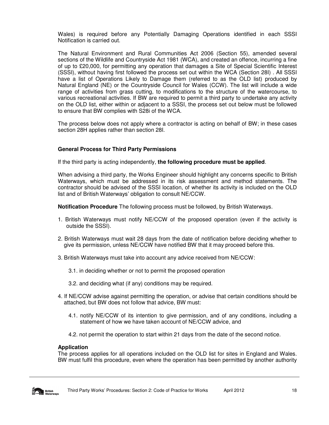Wales) is required before any Potentially Damaging Operations identified in each SSSI Notification is carried out.

The Natural Environment and Rural Communities Act 2006 (Section 55), amended several sections of the Wildlife and Countryside Act 1981 (WCA), and created an offence, incurring a fine of up to £20,000, for permitting any operation that damages a Site of Special Scientific Interest (SSSI), without having first followed the process set out within the WCA (Section 28I) . All SSSI have a list of Operations Likely to Damage them (referred to as the OLD list) produced by Natural England (NE) or the Countryside Council for Wales (CCW). The list will include a wide range of activities from grass cutting, to modifications to the structure of the watercourse, to various recreational activities. If BW are required to permit a third party to undertake any activity on the OLD list, either within or adjacent to a SSSI, the process set out below must be followed to ensure that BW complies with S28i of the WCA.

The process below does not apply where a contractor is acting on behalf of BW; in these cases section 28H applies rather than section 28I.

# **General Process for Third Party Permissions**

If the third party is acting independently, **the following procedure must be applied**.

When advising a third party, the Works Engineer should highlight any concerns specific to British Waterways, which must be addressed in its risk assessment and method statements. The contractor should be advised of the SSSI location, of whether its activity is included on the OLD list and of British Waterways' obligation to consult NE/CCW.

**Notification Procedure** The following process must be followed, by British Waterways.

- 1. British Waterways must notify NE/CCW of the proposed operation (even if the activity is outside the SSSI).
- 2. British Waterways must wait 28 days from the date of notification before deciding whether to give its permission, unless NE/CCW have notified BW that it may proceed before this.
- 3. British Waterways must take into account any advice received from NE/CCW:
	- 3.1. in deciding whether or not to permit the proposed operation
	- 3.2. and deciding what (if any) conditions may be required.
- 4. If NE/CCW advise against permitting the operation, or advise that certain conditions should be attached, but BW does not follow that advice, BW must:
	- 4.1. notify NE/CCW of its intention to give permission, and of any conditions, including a statement of how we have taken account of NE/CCW advice, and
	- 4.2. not permit the operation to start within 21 days from the date of the second notice.

#### **Application**

The process applies for all operations included on the OLD list for sites in England and Wales. BW must fulfil this procedure, even where the operation has been permitted by another authority

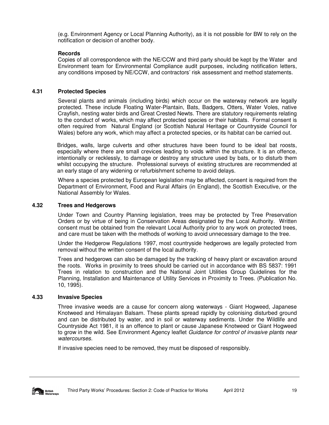(e.g. Environment Agency or Local Planning Authority), as it is not possible for BW to rely on the notification or decision of another body.

# **Records**

Copies of all correspondence with the NE/CCW and third party should be kept by the Water and Environment team for Environmental Compliance audit purposes, including notification letters, any conditions imposed by NE/CCW, and contractors' risk assessment and method statements.

# **4.31 Protected Species**

Several plants and animals (including birds) which occur on the waterway network are legally protected. These include Floating Water-Plantain, Bats, Badgers, Otters, Water Voles, native Crayfish, nesting water birds and Great Crested Newts. There are statutory requirements relating to the conduct of works, which may affect protected species or their habitats. Formal consent is often required from Natural England (or Scottish Natural Heritage or Countryside Council for Wales) before any work, which may affect a protected species, or its habitat can be carried out.

Bridges, walls, large culverts and other structures have been found to be ideal bat roosts, especially where there are small crevices leading to voids within the structure. It is an offence, intentionally or recklessly, to damage or destroy any structure used by bats, or to disturb them whilst occupying the structure. Professional surveys of existing structures are recommended at an early stage of any widening or refurbishment scheme to avoid delays.

Where a species protected by European legislation may be affected, consent is required from the Department of Environment, Food and Rural Affairs (in England), the Scottish Executive, or the National Assembly for Wales.

# **4.32 Trees and Hedgerows**

Under Town and Country Planning legislation, trees may be protected by Tree Preservation Orders or by virtue of being in Conservation Areas designated by the Local Authority. Written consent must be obtained from the relevant Local Authority prior to any work on protected trees, and care must be taken with the methods of working to avoid unnecessary damage to the tree.

Under the Hedgerow Regulations 1997, most countryside hedgerows are legally protected from removal without the written consent of the local authority.

Trees and hedgerows can also be damaged by the tracking of heavy plant or excavation around the roots. Works in proximity to trees should be carried out in accordance with BS 5837: 1991 Trees in relation to construction and the National Joint Utilities Group Guidelines for the Planning, Installation and Maintenance of Utility Services in Proximity to Trees. (Publication No. 10, 1995).

# **4.33 Invasive Species**

Three invasive weeds are a cause for concern along waterways - Giant Hogweed, Japanese Knotweed and Himalayan Balsam. These plants spread rapidly by colonising disturbed ground and can be distributed by water, and in soil or waterway sediments. Under the Wildlife and Countryside Act 1981, it is an offence to plant or cause Japanese Knotweed or Giant Hogweed to grow in the wild. See Environment Agency leaflet Guidance for control of invasive plants near watercourses.

If invasive species need to be removed, they must be disposed of responsibly.

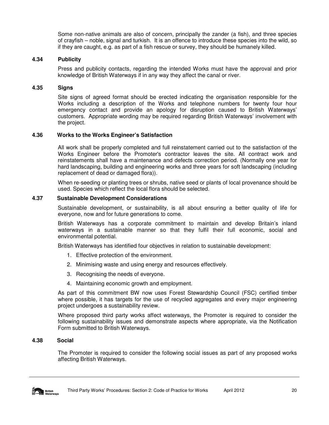Some non-native animals are also of concern, principally the zander (a fish), and three species of crayfish – noble, signal and turkish. It is an offence to introduce these species into the wild, so if they are caught, e.g. as part of a fish rescue or survey, they should be humanely killed.

# **4.34 Publicity**

Press and publicity contacts, regarding the intended Works must have the approval and prior knowledge of British Waterways if in any way they affect the canal or river.

#### **4.35 Signs**

Site signs of agreed format should be erected indicating the organisation responsible for the Works including a description of the Works and telephone numbers for twenty four hour emergency contact and provide an apology for disruption caused to British Waterways' customers. Appropriate wording may be required regarding British Waterways' involvement with the project.

#### **4.36 Works to the Works Engineer's Satisfaction**

All work shall be properly completed and full reinstatement carried out to the satisfaction of the Works Engineer before the Promoter's contractor leaves the site. All contract work and reinstatements shall have a maintenance and defects correction period. (Normally one year for hard landscaping, building and engineering works and three years for soft landscaping (including replacement of dead or damaged flora)).

When re-seeding or planting trees or shrubs, native seed or plants of local provenance should be used. Species which reflect the local flora should be selected.

# **4.37 Sustainable Development Considerations**

Sustainable development, or sustainability, is all about ensuring a better quality of life for everyone, now and for future generations to come.

British Waterways has a corporate commitment to maintain and develop Britain's inland waterways in a sustainable manner so that they fulfil their full economic, social and environmental potential.

British Waterways has identified four objectives in relation to sustainable development:

- 1. Effective protection of the environment.
- 2. Minimising waste and using energy and resources effectively.
- 3. Recognising the needs of everyone.
- 4. Maintaining economic growth and employment.

As part of this commitment BW now uses Forest Stewardship Council (FSC) certified timber where possible, it has targets for the use of recycled aggregates and every major engineering project undergoes a sustainability review.

Where proposed third party works affect waterways, the Promoter is required to consider the following sustainability issues and demonstrate aspects where appropriate, via the Notification Form submitted to British Waterways.

#### **4.38 Social**

The Promoter is required to consider the following social issues as part of any proposed works affecting British Waterways.

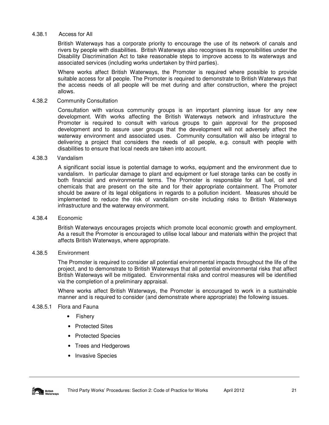#### 4.38.1 Access for All

British Waterways has a corporate priority to encourage the use of its network of canals and rivers by people with disabilities. British Waterways also recognises its responsibilities under the Disability Discrimination Act to take reasonable steps to improve access to its waterways and associated services (including works undertaken by third parties).

Where works affect British Waterways, the Promoter is required where possible to provide suitable access for all people. The Promoter is required to demonstrate to British Waterways that the access needs of all people will be met during and after construction, where the project allows.

#### 4.38.2 Community Consultation

Consultation with various community groups is an important planning issue for any new development. With works affecting the British Waterways network and infrastructure the Promoter is required to consult with various groups to gain approval for the proposed development and to assure user groups that the development will not adversely affect the waterway environment and associated uses. Community consultation will also be integral to delivering a project that considers the needs of all people, e.g. consult with people with disabilities to ensure that local needs are taken into account.

#### 4.38.3 Vandalism

A significant social issue is potential damage to works, equipment and the environment due to vandalism. In particular damage to plant and equipment or fuel storage tanks can be costly in both financial and environmental terms. The Promoter is responsible for all fuel, oil and chemicals that are present on the site and for their appropriate containment. The Promoter should be aware of its legal obligations in regards to a pollution incident. Measures should be implemented to reduce the risk of vandalism on-site including risks to British Waterways infrastructure and the waterway environment.

#### 4.38.4 Economic

British Waterways encourages projects which promote local economic growth and employment. As a result the Promoter is encouraged to utilise local labour and materials within the project that affects British Waterways, where appropriate.

#### 4.38.5 Environment

The Promoter is required to consider all potential environmental impacts throughout the life of the project, and to demonstrate to British Waterways that all potential environmental risks that affect British Waterways will be mitigated. Environmental risks and control measures will be identified via the completion of a preliminary appraisal.

Where works affect British Waterways, the Promoter is encouraged to work in a sustainable manner and is required to consider (and demonstrate where appropriate) the following issues.

# 4.38.5.1 Flora and Fauna

- **Fishery**
- Protected Sites
- Protected Species
- Trees and Hedgerows
- Invasive Species

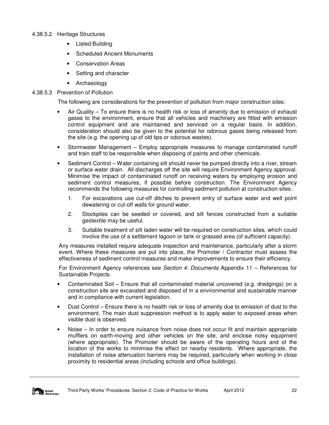- 4.38.5.2 Heritage Structures
	- **Listed Building**
	- Scheduled Ancient Monuments
	- Conservation Areas
	- Setting and character
	- Archaeology

# 4.38.5.3 Prevention of Pollution

The following are considerations for the prevention of pollution from major construction sites:

- Air Quality To ensure there is no health risk or loss of amenity due to emission of exhaust gases to the environment, ensure that all vehicles and machinery are fitted with emission control equipment and are maintained and serviced on a regular basis. In addition, consideration should also be given to the potential for odorous gases being released from the site (e.g. the opening up of old tips or odorous wastes).
- Stormwater Management Employ appropriate measures to manage contaminated runoff and train staff to be responsible when disposing of paints and other chemicals.
- Sediment Control Water containing silt should never be pumped directly into a river, stream or surface water drain. All discharges off the site will require Environment Agency approval. Minimise the impact of contaminated runoff on receiving waters by employing erosion and sediment control measures, if possible before construction. The Environment Agency recommends the following measures for controlling sediment pollution at construction sites:
	- 1. For excavations use cut-off ditches to prevent entry of surface water and well point dewatering or cut-off walls for ground water.
	- 2. Stockpiles can be seeded or covered, and silt fences constructed from a suitable geotextile may be useful.
	- 3. Suitable treatment of silt laden water will be required on construction sites, which could involve the use of a settlement lagoon or tank or grassed area (of sufficient capacity).

Any measures installed require adequate inspection and maintenance, particularly after a storm event. Where these measures are put into place, the Promoter / Contractor must assess the effectiveness of sediment control measures and make improvements to ensure their efficiency.

For Environment Agency references see Section 4: Documents Appendix 11 – References for Sustainable Projects.

- Contaminated Soil Ensure that all contaminated material uncovered (e.g. dredgings) on a construction site are excavated and disposed of in a environmental and sustainable manner and in compliance with current legislation.
- Dust Control Ensure there is no health risk or loss of amenity due to emission of dust to the environment. The main dust suppression method is to apply water to exposed areas when visible dust is observed.
- Noise In order to ensure nuisance from noise does not occur fit and maintain appropriate mufflers on earth-moving and other vehicles on the site, and enclose noisy equipment (where appropriate). The Promoter should be aware of the operating hours and of the location of the works to minimise the effect on nearby residents. Where appropriate, the installation of noise attenuation barriers may be required, particularly when working in close proximity to residential areas (including schools and office buildings).

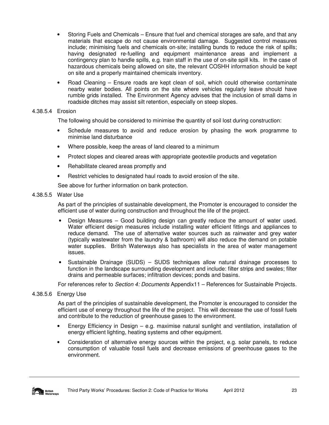- Storing Fuels and Chemicals Ensure that fuel and chemical storages are safe, and that any materials that escape do not cause environmental damage. Suggested control measures include; minimising fuels and chemicals on-site; installing bunds to reduce the risk of spills; having designated re-fuelling and equipment maintenance areas and implement a contingency plan to handle spills, e.g. train staff in the use of on-site spill kits. In the case of hazardous chemicals being allowed on site, the relevant COSHH information should be kept on site and a properly maintained chemicals inventory.
- Road Cleaning Ensure roads are kept clean of soil, which could otherwise contaminate nearby water bodies. All points on the site where vehicles regularly leave should have rumble grids installed. The Environment Agency advises that the inclusion of small dams in roadside ditches may assist silt retention, especially on steep slopes.

# 4.38.5.4 Erosion

The following should be considered to minimise the quantity of soil lost during construction:

- Schedule measures to avoid and reduce erosion by phasing the work programme to minimise land disturbance
- Where possible, keep the areas of land cleared to a minimum
- Protect slopes and cleared areas with appropriate geotextile products and vegetation
- Rehabilitate cleared areas promptly and
- Restrict vehicles to designated haul roads to avoid erosion of the site.

See above for further information on bank protection.

# 4.38.5.5 Water Use

As part of the principles of sustainable development, the Promoter is encouraged to consider the efficient use of water during construction and throughout the life of the project.

- Design Measures Good building design can greatly reduce the amount of water used. Water efficient design measures include installing water efficient fittings and appliances to reduce demand. The use of alternative water sources such as rainwater and grey water (typically wastewater from the laundry & bathroom) will also reduce the demand on potable water supplies. British Waterways also has specialists in the area of water management issues.
- Sustainable Drainage (SUDS) SUDS techniques allow natural drainage processes to function in the landscape surrounding development and include: filter strips and swales; filter drains and permeable surfaces; infiltration devices; ponds and basins.

For references refer to Section 4: Documents Appendix11 – References for Sustainable Projects.

# 4.38.5.6 Energy Use

As part of the principles of sustainable development, the Promoter is encouraged to consider the efficient use of energy throughout the life of the project. This will decrease the use of fossil fuels and contribute to the reduction of greenhouse gases to the environment.

- Energy Efficiency in Design e.g. maximise natural sunlight and ventilation, installation of energy efficient lighting, heating systems and other equipment.
- Consideration of alternative energy sources within the project, e.g. solar panels, to reduce consumption of valuable fossil fuels and decrease emissions of greenhouse gases to the environment.

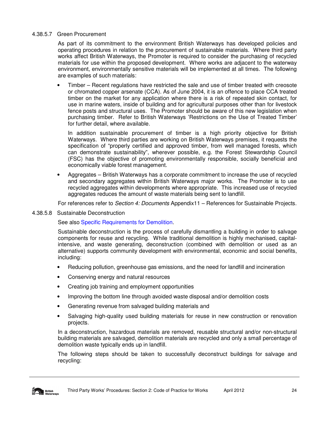#### 4.38.5.7 Green Procurement

As part of its commitment to the environment British Waterways has developed policies and operating procedures in relation to the procurement of sustainable materials. Where third party works affect British Waterways, the Promoter is required to consider the purchasing of recycled materials for use within the proposed development. Where works are adjacent to the waterway environment, environmentally sensitive materials will be implemented at all times. The following are examples of such materials:

• Timber – Recent regulations have restricted the sale and use of timber treated with creosote or chromated copper arsenate (CCA). As of June 2004, it is an offence to place CCA treated timber on the market for any application where there is a risk of repeated skin contact, for use in marine waters, inside of building and for agricultural purposes other than for livestock fence posts and structural uses. The Promoter should be aware of this new legislation when purchasing timber. Refer to British Waterways 'Restrictions on the Use of Treated Timber' for further detail, where available.

In addition sustainable procurement of timber is a high priority objective for British Waterways. Where third parties are working on British Waterways premises, it requests the specification of "properly certified and approved timber, from well managed forests, which can demonstrate sustainability", wherever possible, e.g. the Forest Stewardship Council (FSC) has the objective of promoting environmentally responsible, socially beneficial and economically viable forest management.

• Aggregates – British Waterways has a corporate commitment to increase the use of recycled and secondary aggregates within British Waterways major works. The Promoter is to use recycled aggregates within developments where appropriate. This increased use of recycled aggregates reduces the amount of waste materials being sent to landfill.

For references refer to Section 4: Documents Appendix11 – References for Sustainable Projects.

#### 4.38.5.8 Sustainable Deconstruction

See also Specific Requirements for Demolition.

Sustainable deconstruction is the process of carefully dismantling a building in order to salvage components for reuse and recycling. While traditional demolition is highly mechanised, capitalintensive, and waste generating, deconstruction (combined with demolition or used as an alternative) supports community development with environmental, economic and social benefits, including:

- Reducing pollution, greenhouse gas emissions, and the need for landfill and incineration
- Conserving energy and natural resources
- Creating job training and employment opportunities
- Improving the bottom line through avoided waste disposal and/or demolition costs
- Generating revenue from salvaged building materials and
- Salvaging high-quality used building materials for reuse in new construction or renovation projects.

In a deconstruction, hazardous materials are removed, reusable structural and/or non-structural building materials are salvaged, demolition materials are recycled and only a small percentage of demolition waste typically ends up in landfill.

The following steps should be taken to successfully deconstruct buildings for salvage and recycling:

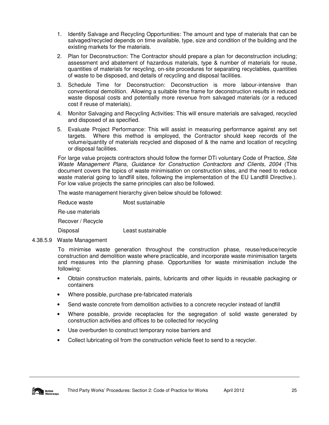- 1. Identify Salvage and Recycling Opportunities: The amount and type of materials that can be salvaged/recycled depends on time available, type, size and condition of the building and the existing markets for the materials.
- 2. Plan for Deconstruction: The Contractor should prepare a plan for deconstruction including; assessment and abatement of hazardous materials, type & number of materials for reuse, quantities of materials for recycling, on-site procedures for separating recyclables, quantities of waste to be disposed, and details of recycling and disposal facilities.
- 3. Schedule Time for Deconstruction: Deconstruction is more labour-intensive than conventional demolition. Allowing a suitable time frame for deconstruction results in reduced waste disposal costs and potentially more revenue from salvaged materials (or a reduced cost if reuse of materials).
- 4. Monitor Salvaging and Recycling Activities: This will ensure materials are salvaged, recycled and disposed of as specified.
- 5. Evaluate Project Performance: This will assist in measuring performance against any set targets. Where this method is employed, the Contractor should keep records of the volume/quantity of materials recycled and disposed of & the name and location of recycling or disposal facilities.

For large value projects contractors should follow the former DTi voluntary Code of Practice, Site Waste Management Plans, Guidance for Construction Contractors and Clients, 2004 (This document covers the topics of waste minimisation on construction sites, and the need to reduce waste material going to landfill sites, following the implementation of the EU Landfill Directive.). For low value projects the same principles can also be followed.

The waste management hierarchy given below should be followed:

Reduce waste **Most sustainable** 

Re-use materials

Recover / Recycle

Disposal Least sustainable

4.38.5.9 Waste Management

To minimise waste generation throughout the construction phase, reuse/reduce/recycle construction and demolition waste where practicable, and incorporate waste minimisation targets and measures into the planning phase. Opportunities for waste minimisation include the following:

- Obtain construction materials, paints, lubricants and other liquids in reusable packaging or containers
- Where possible, purchase pre-fabricated materials
- Send waste concrete from demolition activities to a concrete recycler instead of landfill
- Where possible, provide receptacles for the segregation of solid waste generated by construction activities and offices to be collected for recycling
- Use overburden to construct temporary noise barriers and
- Collect lubricating oil from the construction vehicle fleet to send to a recycler.

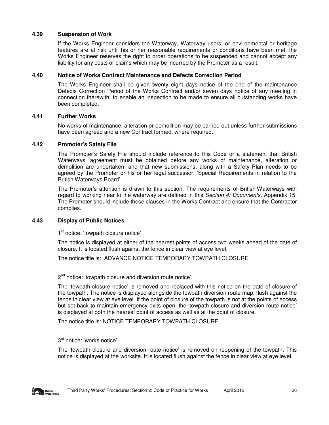# **4.39 Suspension of Work**

If the Works Engineer considers the Waterway, Waterway users, or environmental or heritage features are at risk until his or her reasonable requirements or conditions have been met, the Works Engineer reserves the right to order operations to be suspended and cannot accept any liability for any costs or claims which may be incurred by the Promoter as a result.

# **4.40 Notice of Works Contract Maintenance and Defects Correction Period**

The Works Engineer shall be given twenty eight days notice of the end of the maintenance Defects Correction Period of the Works Contract and/or seven days notice of any meeting in connection therewith, to enable an inspection to be made to ensure all outstanding works have been completed.

# **4.41 Further Works**

No works of maintenance, alteration or demolition may be carried out unless further submissions have been agreed and a new Contract formed, where required.

# **4.42 Promoter's Safety File**

The Promoter's Safety File should include reference to this Code or a statement that British Waterways' agreement must be obtained before any works of maintenance, alteration or demolition are undertaken, and that new submissions, along with a Safety Plan needs to be agreed by the Promoter or his or her legal successor. 'Special Requirements in relation to the British Waterways Board'

The Promoter's attention is drawn to this section. The requirements of British Waterways with regard to working near to the waterway are defined in this Section 4: Documents, Appendix 15. The Promoter should include these clauses in the Works Contract and ensure that the Contractor complies.

# **4.43 Display of Public Notices**

1<sup>st</sup> notice: 'towpath closure notice'

The notice is displayed at either of the nearest points of access two weeks ahead of the date of closure. It is located flush against the fence in clear view at eye level.

The notice title is: ADVANCE NOTICE TEMPORARY TOWPATH CLOSURE

2<sup>nd</sup> notice: 'towpath closure and diversion route notice'

The 'towpath closure notice' is removed and replaced with this notice on the date of closure of the towpath. The notice is displayed alongside the towpath diversion route map, flush against the fence in clear view at eye level. If the point of closure of the towpath is not at the points of access but set back to maintain emergency exits open, the 'towpath closure and diversion route notice' is displayed at both the nearest point of access as well as at the point of closure.

The notice title is: NOTICE TEMPORARY TOWPATH CLOSURE

3 rd notice: 'works notice'

The 'towpath closure and diversion route notice' is removed on reopening of the towpath. This notice is displayed at the worksite. It is located flush against the fence in clear view at eye level.

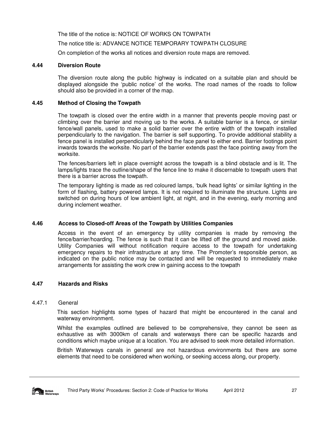The title of the notice is: NOTICE OF WORKS ON TOWPATH

The notice title is: ADVANCE NOTICE TEMPORARY TOWPATH CLOSURE

On completion of the works all notices and diversion route maps are removed.

# **4.44 Diversion Route**

The diversion route along the public highway is indicated on a suitable plan and should be displayed alongside the 'public notice' of the works. The road names of the roads to follow should also be provided in a corner of the map.

#### **4.45 Method of Closing the Towpath**

The towpath is closed over the entire width in a manner that prevents people moving past or climbing over the barrier and moving up to the works. A suitable barrier is a fence, or similar fence/wall panels, used to make a solid barrier over the entire width of the towpath installed perpendicularly to the navigation. The barrier is self supporting. To provide additional stability a fence panel is installed perpendicularly behind the face panel to either end. Barrier footings point inwards towards the worksite. No part of the barrier extends past the face pointing away from the worksite.

The fences/barriers left in place overnight across the towpath is a blind obstacle and is lit. The lamps/lights trace the outline/shape of the fence line to make it discernable to towpath users that there is a barrier across the towpath.

The temporary lighting is made as red coloured lamps, 'bulk head lights' or similar lighting in the form of flashing, battery powered lamps. It is not required to illuminate the structure. Lights are switched on during hours of low ambient light, at night, and in the evening, early morning and during inclement weather.

# **4.46 Access to Closed-off Areas of the Towpath by Utilities Companies**

Access in the event of an emergency by utility companies is made by removing the fence/barrier/hoarding. The fence is such that it can be lifted off the ground and moved aside. Utility Companies will without notification require access to the towpath for undertaking emergency repairs to their infrastructure at any time. The Promoter's responsible person, as indicated on the public notice may be contacted and will be requested to immediately make arrangements for assisting the work crew in gaining access to the towpath

# **4.47 Hazards and Risks**

#### 4.47.1General

This section highlights some types of hazard that might be encountered in the canal and waterway environment.

Whilst the examples outlined are believed to be comprehensive, they cannot be seen as exhaustive as with 3000km of canals and waterways there can be specific hazards and conditions which maybe unique at a location. You are advised to seek more detailed information.

British Waterways canals in general are not hazardous environments but there are some elements that need to be considered when working, or seeking access along, our property.

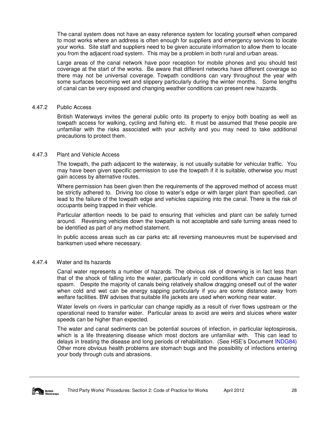The canal system does not have an easy reference system for locating yourself when compared to most works where an address is often enough for suppliers and emergency services to locate your works. Site staff and suppliers need to be given accurate information to allow them to locate you from the adjacent road system. This may be a problem in both rural and urban areas.

Large areas of the canal network have poor reception for mobile phones and you should test coverage at the start of the works. Be aware that different networks have different coverage so there may not be universal coverage. Towpath conditions can vary throughout the year with some surfaces becoming wet and slippery particularly during the winter months. Some lengths of canal can be very exposed and changing weather conditions can present new hazards.

#### 4.47.2Public Access

British Waterways invites the general public onto its property to enjoy both boating as well as towpath access for walking, cycling and fishing etc. It must be assumed that these people are unfamiliar with the risks associated with your activity and you may need to take additional precautions to protect them.

#### 4.47.3Plant and Vehicle Access

The towpath, the path adjacent to the waterway, is not usually suitable for vehicular traffic. You may have been given specific permission to use the towpath if it is suitable, otherwise you must gain access by alternative routes.

Where permission has been given then the requirements of the approved method of access must be strictly adhered to. Driving too close to water's edge or with larger plant than specified, can lead to the failure of the towpath edge and vehicles capsizing into the canal. There is the risk of occupants being trapped in their vehicle.

Particular attention needs to be paid to ensuring that vehicles and plant can be safely turned around. Reversing vehicles down the towpath is not acceptable and safe turning areas need to be identified as part of any method statement.

In public access areas such as car parks etc all reversing manoeuvres must be supervised and banksmen used where necessary.

#### 4.47.4Water and its hazards

Canal water represents a number of hazards. The obvious risk of drowning is in fact less than that of the shock of falling into the water, particularly in cold conditions which can cause heart spasm. Despite the majority of canals being relatively shallow dragging oneself out of the water when cold and wet can be energy sapping particularly if you are some distance away from welfare facilities. BW advises that suitable life jackets are used when working near water.

Water levels on rivers in particular can change rapidly as a result of river flows upstream or the operational need to transfer water. Particular areas to avoid are weirs and sluices where water speeds can be higher than expected.

The water and canal sediments can be potential sources of infection, in particular leptospirosis, which is a life threatening disease which most doctors are unfamiliar with. This can lead to delays in treating the disease and long periods of rehabilitation. (See HSE's Document INDG84) Other more obvious health problems are stomach bugs and the possibility of infections entering your body through cuts and abrasions.